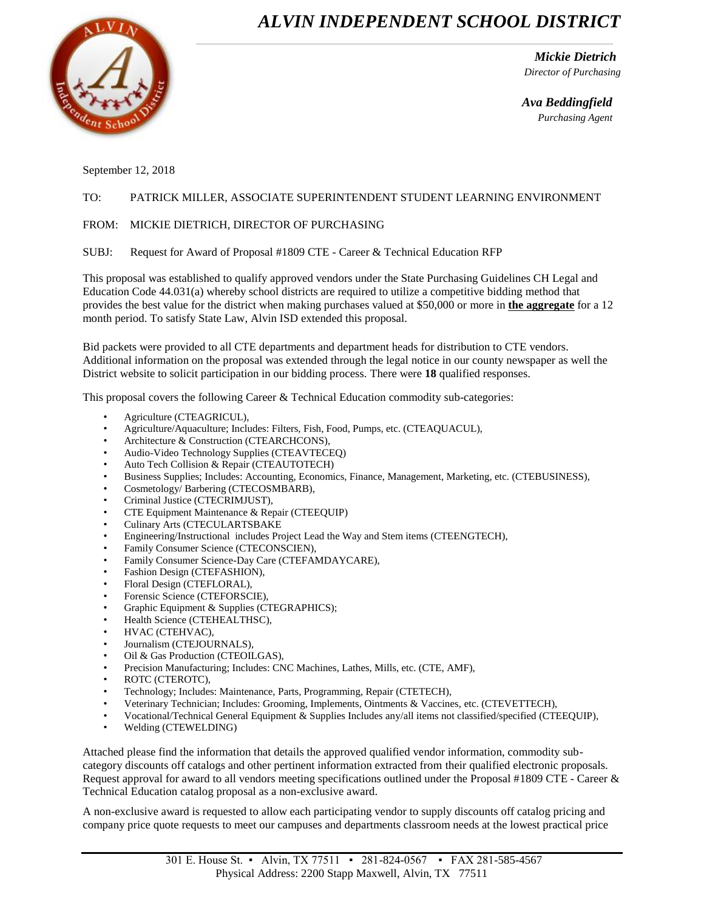## *ALVIN INDEPENDENT SCHOOL DISTRICT*



 *Mickie Dietrich Director of Purchasing*

 *Ava Beddingfield Purchasing Agent*

September 12, 2018

## TO: PATRICK MILLER, ASSOCIATE SUPERINTENDENT STUDENT LEARNING ENVIRONMENT

## FROM: MICKIE DIETRICH, DIRECTOR OF PURCHASING

SUBJ: Request for Award of Proposal #1809 CTE - Career & Technical Education RFP

This proposal was established to qualify approved vendors under the State Purchasing Guidelines CH Legal and Education Code 44.031(a) whereby school districts are required to utilize a competitive bidding method that provides the best value for the district when making purchases valued at \$50,000 or more in **the aggregate** for a 12 month period. To satisfy State Law, Alvin ISD extended this proposal.

Bid packets were provided to all CTE departments and department heads for distribution to CTE vendors. Additional information on the proposal was extended through the legal notice in our county newspaper as well the District website to solicit participation in our bidding process. There were **18** qualified responses.

This proposal covers the following Career & Technical Education commodity sub-categories:

- Agriculture (CTEAGRICUL),
- Agriculture/Aquaculture; Includes: Filters, Fish, Food, Pumps, etc. (CTEAQUACUL),
- Architecture & Construction (CTEARCHCONS),
- Audio-Video Technology Supplies (CTEAVTECEQ)
- Auto Tech Collision & Repair (CTEAUTOTECH)
- Business Supplies; Includes: Accounting, Economics, Finance, Management, Marketing, etc. (CTEBUSINESS),
- Cosmetology/ Barbering (CTECOSMBARB),
- Criminal Justice (CTECRIMJUST),
- CTE Equipment Maintenance & Repair (CTEEQUIP)
- Culinary Arts (CTECULARTSBAKE
- Engineering/Instructional includes Project Lead the Way and Stem items (CTEENGTECH),
- Family Consumer Science (CTECONSCIEN),
- Family Consumer Science-Day Care (CTEFAMDAYCARE),
- Fashion Design (CTEFASHION),
- Floral Design (CTEFLORAL),
- Forensic Science (CTEFORSCIE),
- Graphic Equipment & Supplies (CTEGRAPHICS);
- Health Science (CTEHEALTHSC),
- HVAC (CTEHVAC),
- Journalism (CTEJOURNALS),
- Oil & Gas Production (CTEOILGAS),
- Precision Manufacturing; Includes: CNC Machines, Lathes, Mills, etc. (CTE, AMF),
- ROTC (CTEROTC),
- Technology; Includes: Maintenance, Parts, Programming, Repair (CTETECH),
- Veterinary Technician; Includes: Grooming, Implements, Ointments & Vaccines, etc. (CTEVETTECH),
- Vocational/Technical General Equipment & Supplies Includes any/all items not classified/specified (CTEEQUIP),
- Welding (CTEWELDING)

Attached please find the information that details the approved qualified vendor information, commodity subcategory discounts off catalogs and other pertinent information extracted from their qualified electronic proposals. Request approval for award to all vendors meeting specifications outlined under the Proposal #1809 CTE - Career & Technical Education catalog proposal as a non-exclusive award.

A non-exclusive award is requested to allow each participating vendor to supply discounts off catalog pricing and company price quote requests to meet our campuses and departments classroom needs at the lowest practical price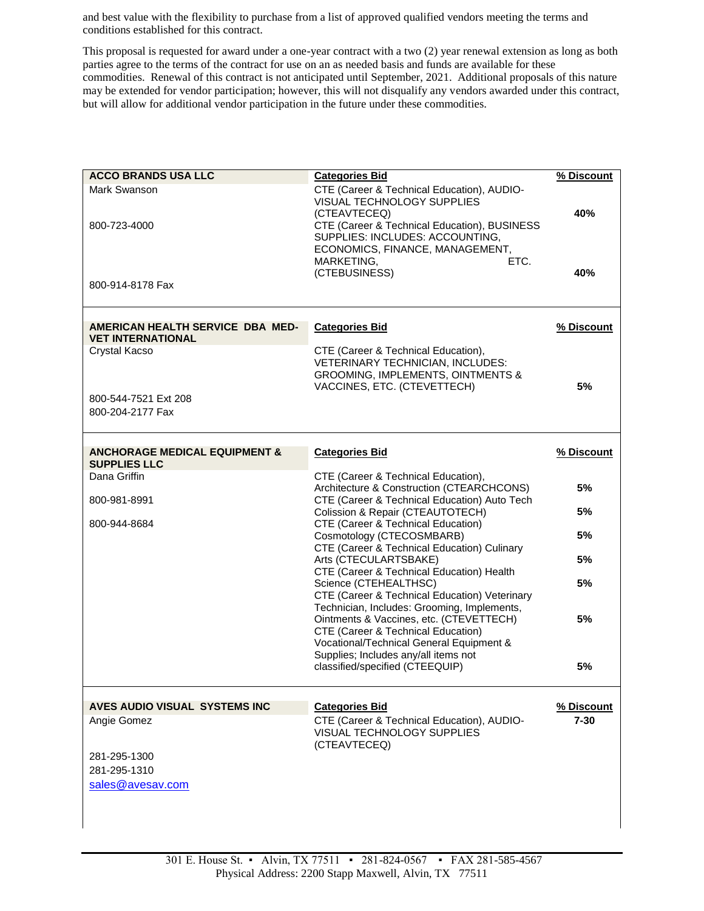and best value with the flexibility to purchase from a list of approved qualified vendors meeting the terms and conditions established for this contract.

This proposal is requested for award under a one-year contract with a two (2) year renewal extension as long as both parties agree to the terms of the contract for use on an as needed basis and funds are available for these commodities. Renewal of this contract is not anticipated until September, 2021. Additional proposals of this nature may be extended for vendor participation; however, this will not disqualify any vendors awarded under this contract, but will allow for additional vendor participation in the future under these commodities.

| <b>ACCO BRANDS USA LLC</b>                                      | <b>Categories Bid</b>                                                                                                                                                                                                 | % Discount |
|-----------------------------------------------------------------|-----------------------------------------------------------------------------------------------------------------------------------------------------------------------------------------------------------------------|------------|
| Mark Swanson<br>800-723-4000                                    | CTE (Career & Technical Education), AUDIO-<br><b>VISUAL TECHNOLOGY SUPPLIES</b><br>(CTEAVTECEQ)<br>CTE (Career & Technical Education), BUSINESS<br>SUPPLIES: INCLUDES: ACCOUNTING,<br>ECONOMICS, FINANCE, MANAGEMENT, | 40%        |
| 800-914-8178 Fax                                                | MARKETING,<br>ETC.<br>(CTEBUSINESS)                                                                                                                                                                                   | 40%        |
| AMERICAN HEALTH SERVICE DBA MED-<br><b>VET INTERNATIONAL</b>    | <b>Categories Bid</b>                                                                                                                                                                                                 | % Discount |
| Crystal Kacso                                                   | CTE (Career & Technical Education),<br>VETERINARY TECHNICIAN, INCLUDES:<br>GROOMING, IMPLEMENTS, OINTMENTS &<br>VACCINES, ETC. (CTEVETTECH)                                                                           | 5%         |
| 800-544-7521 Ext 208<br>800-204-2177 Fax                        |                                                                                                                                                                                                                       |            |
| <b>ANCHORAGE MEDICAL EQUIPMENT &amp;</b><br><b>SUPPLIES LLC</b> | <b>Categories Bid</b>                                                                                                                                                                                                 | % Discount |
| Dana Griffin                                                    | CTE (Career & Technical Education),                                                                                                                                                                                   |            |
| 800-981-8991                                                    | Architecture & Construction (CTEARCHCONS)<br>CTE (Career & Technical Education) Auto Tech                                                                                                                             | 5%         |
| 800-944-8684                                                    | Colission & Repair (CTEAUTOTECH)<br>CTE (Career & Technical Education)                                                                                                                                                | 5%         |
|                                                                 | Cosmotology (CTECOSMBARB)                                                                                                                                                                                             | 5%         |
|                                                                 | CTE (Career & Technical Education) Culinary<br>Arts (CTECULARTSBAKE)<br>CTE (Career & Technical Education) Health                                                                                                     | 5%         |
|                                                                 | Science (CTEHEALTHSC)<br>CTE (Career & Technical Education) Veterinary                                                                                                                                                | 5%         |
|                                                                 | Technician, Includes: Grooming, Implements,<br>Ointments & Vaccines, etc. (CTEVETTECH)<br>CTE (Career & Technical Education)                                                                                          | 5%         |
|                                                                 | Vocational/Technical General Equipment &<br>Supplies; Includes any/all items not<br>classified/specified (CTEEQUIP)                                                                                                   | 5%         |
| AVES AUDIO VISUAL SYSTEMS INC                                   | <b>Categories Bid</b>                                                                                                                                                                                                 | % Discount |
| Angie Gomez                                                     | CTE (Career & Technical Education), AUDIO-<br><b>VISUAL TECHNOLOGY SUPPLIES</b><br>(CTEAVTECEQ)                                                                                                                       | $7 - 30$   |
| 281-295-1300                                                    |                                                                                                                                                                                                                       |            |
| 281-295-1310                                                    |                                                                                                                                                                                                                       |            |
| sales@avesav.com                                                |                                                                                                                                                                                                                       |            |
|                                                                 |                                                                                                                                                                                                                       |            |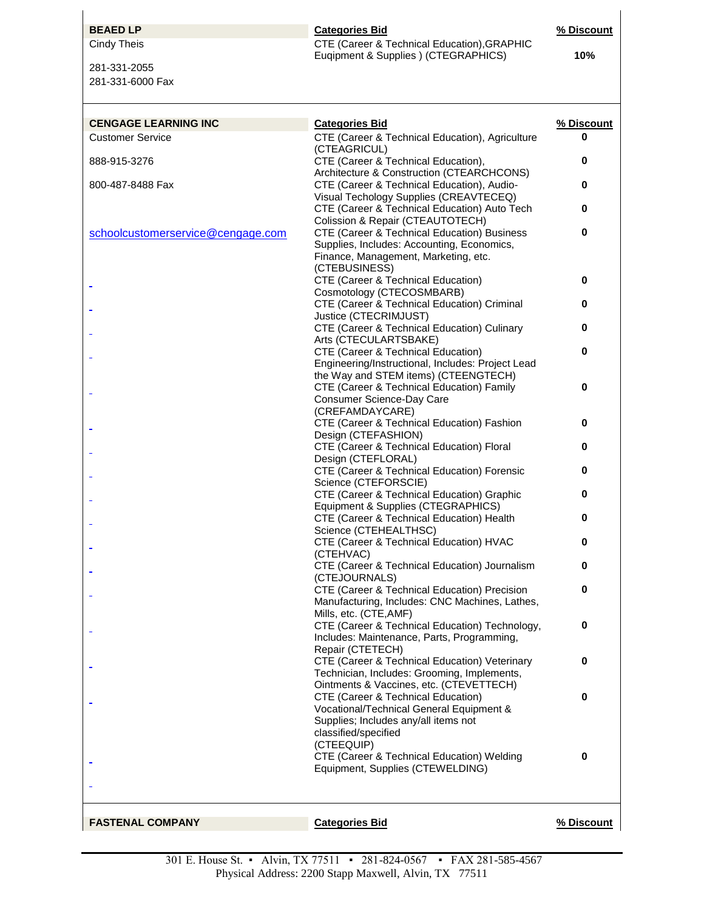281-331-2055 281-331-6000 Fax

## **BEAED LP Categories Bid Categories Bid 1999 1999 1999 2010 1999 2020 2020 2020 2020 2020 2020 2020 2020 2020 2020 2020 2020 2020 2020 2020 2020 2020 2020 2020 2020 2** Cindy Theis **CTE** (Career & Technical Education), GRAPHIC Euqipment & Supplies ) (CTEGRAPHICS) **10%**

| <b>CENGAGE LEARNING INC</b>       | <b>Categories Bid</b>                                                                        | % Discount |
|-----------------------------------|----------------------------------------------------------------------------------------------|------------|
| <b>Customer Service</b>           | CTE (Career & Technical Education), Agriculture<br>(CTEAGRICUL)                              | 0          |
| 888-915-3276                      | CTE (Career & Technical Education),<br>Architecture & Construction (CTEARCHCONS)             | 0          |
| 800-487-8488 Fax                  | CTE (Career & Technical Education), Audio-                                                   | 0          |
|                                   | Visual Techology Supplies (CREAVTECEQ)<br>CTE (Career & Technical Education) Auto Tech       | 0          |
| schoolcustomerservice@cengage.com | Colission & Repair (CTEAUTOTECH)<br>CTE (Career & Technical Education) Business              | 0          |
|                                   | Supplies, Includes: Accounting, Economics,<br>Finance, Management, Marketing, etc.           |            |
|                                   | (CTEBUSINESS)                                                                                |            |
|                                   | CTE (Career & Technical Education)<br>Cosmotology (CTECOSMBARB)                              | 0          |
|                                   | CTE (Career & Technical Education) Criminal                                                  | 0          |
|                                   | Justice (CTECRIMJUST)                                                                        |            |
|                                   | CTE (Career & Technical Education) Culinary                                                  | 0          |
|                                   | Arts (CTECULARTSBAKE)                                                                        | 0          |
|                                   | CTE (Career & Technical Education)<br>Engineering/Instructional, Includes: Project Lead      |            |
|                                   | the Way and STEM items) (CTEENGTECH)                                                         |            |
|                                   | CTE (Career & Technical Education) Family                                                    | 0          |
|                                   | Consumer Science-Day Care                                                                    |            |
|                                   | (CREFAMDAYCARE)                                                                              |            |
|                                   | CTE (Career & Technical Education) Fashion<br>Design (CTEFASHION)                            | 0          |
|                                   | CTE (Career & Technical Education) Floral                                                    | 0          |
|                                   | Design (CTEFLORAL)                                                                           |            |
|                                   | CTE (Career & Technical Education) Forensic                                                  | 0          |
|                                   | Science (CTEFORSCIE)                                                                         |            |
|                                   | CTE (Career & Technical Education) Graphic<br>Equipment & Supplies (CTEGRAPHICS)             | 0          |
|                                   | CTE (Career & Technical Education) Health                                                    | 0          |
|                                   | Science (CTEHEALTHSC)                                                                        |            |
|                                   | CTE (Career & Technical Education) HVAC                                                      | 0          |
|                                   | (CTEHVAC)                                                                                    |            |
|                                   | CTE (Career & Technical Education) Journalism<br>(CTEJOURNALS)                               | 0          |
|                                   | CTE (Career & Technical Education) Precision                                                 | 0          |
|                                   | Manufacturing, Includes: CNC Machines, Lathes,<br>Mills, etc. (CTE, AMF)                     |            |
|                                   | CTE (Career & Technical Education) Technology,                                               | O          |
|                                   | Includes: Maintenance, Parts, Programming,                                                   |            |
|                                   | Repair (CTETECH)                                                                             |            |
|                                   | CTE (Career & Technical Education) Veterinary<br>Technician, Includes: Grooming, Implements, | 0          |
|                                   | Ointments & Vaccines, etc. (CTEVETTECH)                                                      |            |
|                                   | CTE (Career & Technical Education)                                                           | 0          |
|                                   | Vocational/Technical General Equipment &                                                     |            |
|                                   | Supplies; Includes any/all items not<br>classified/specified                                 |            |
|                                   | (CTEEQUIP)                                                                                   |            |
|                                   | CTE (Career & Technical Education) Welding<br>Equipment, Supplies (CTEWELDING)               | 0          |
|                                   |                                                                                              |            |
|                                   |                                                                                              |            |
| <b>FASTENAL COMPANY</b>           | <b>Categories Bid</b>                                                                        | % Discount |
|                                   |                                                                                              |            |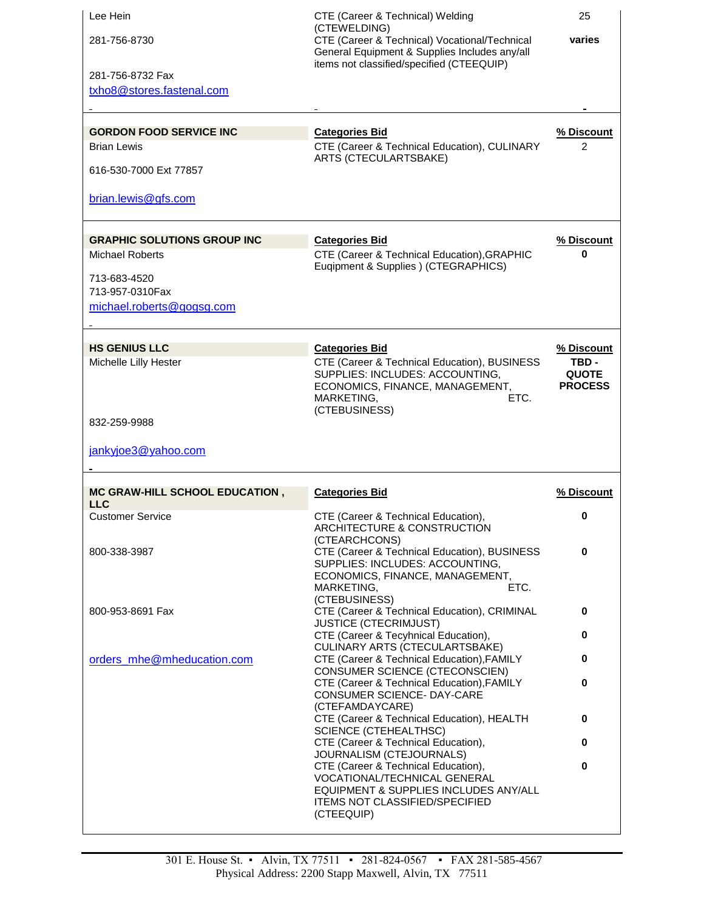| Lee Hein<br>281-756-8730<br>281-756-8732 Fax<br>txho8@stores.fastenal.com<br><b>GORDON FOOD SERVICE INC</b><br><b>Brian Lewis</b><br>616-530-7000 Ext 77857<br>brian.lewis@gfs.com | CTE (Career & Technical) Welding<br>(CTEWELDING)<br>CTE (Career & Technical) Vocational/Technical<br>General Equipment & Supplies Includes any/all<br>items not classified/specified (CTEEQUIP)<br><b>Categories Bid</b><br>CTE (Career & Technical Education), CULINARY<br>ARTS (CTECULARTSBAKE) | 25<br>varies<br>% Discount<br>$\overline{2}$          |
|------------------------------------------------------------------------------------------------------------------------------------------------------------------------------------|---------------------------------------------------------------------------------------------------------------------------------------------------------------------------------------------------------------------------------------------------------------------------------------------------|-------------------------------------------------------|
| <b>GRAPHIC SOLUTIONS GROUP INC</b><br><b>Michael Roberts</b><br>713-683-4520<br>713-957-0310Fax<br>michael.roberts@gogsg.com                                                       | <b>Categories Bid</b><br>CTE (Career & Technical Education), GRAPHIC<br>Euqipment & Supplies ) (CTEGRAPHICS)                                                                                                                                                                                      | % Discount<br>0                                       |
| <b>HS GENIUS LLC</b><br>Michelle Lilly Hester<br>832-259-9988<br>jankyjoe3@yahoo.com                                                                                               | <b>Categories Bid</b><br>CTE (Career & Technical Education), BUSINESS<br>SUPPLIES: INCLUDES: ACCOUNTING,<br>ECONOMICS, FINANCE, MANAGEMENT,<br>MARKETING,<br>ETC.<br>(CTEBUSINESS)                                                                                                                | % Discount<br>TBD -<br><b>QUOTE</b><br><b>PROCESS</b> |
| <b>MC GRAW-HILL SCHOOL EDUCATION,</b>                                                                                                                                              | <b>Categories Bid</b>                                                                                                                                                                                                                                                                             | % Discount                                            |
| <b>LLC</b><br><b>Customer Service</b>                                                                                                                                              | CTE (Career & Technical Education),<br>ARCHITECTURE & CONSTRUCTION<br>(CTEARCHCONS)                                                                                                                                                                                                               | 0                                                     |
| 800-338-3987                                                                                                                                                                       | CTE (Career & Technical Education), BUSINESS<br>SUPPLIES: INCLUDES: ACCOUNTING,<br>ECONOMICS, FINANCE, MANAGEMENT,<br>MARKETING,<br>ETC.                                                                                                                                                          | $\bf{0}$                                              |
| 800-953-8691 Fax                                                                                                                                                                   | (CTEBUSINESS)<br>CTE (Career & Technical Education), CRIMINAL<br><b>JUSTICE (CTECRIMJUST)</b>                                                                                                                                                                                                     | 0                                                     |
|                                                                                                                                                                                    | CTE (Career & Tecyhnical Education),<br>CULINARY ARTS (CTECULARTSBAKE)                                                                                                                                                                                                                            | 0                                                     |
| orders_mhe@mheducation.com                                                                                                                                                         | CTE (Career & Technical Education), FAMILY<br>CONSUMER SCIENCE (CTECONSCIEN)                                                                                                                                                                                                                      | 0                                                     |
|                                                                                                                                                                                    | CTE (Career & Technical Education), FAMILY<br>CONSUMER SCIENCE- DAY-CARE<br>(CTEFAMDAYCARE)                                                                                                                                                                                                       | 0                                                     |
|                                                                                                                                                                                    | CTE (Career & Technical Education), HEALTH<br><b>SCIENCE (CTEHEALTHSC)</b>                                                                                                                                                                                                                        | 0                                                     |
|                                                                                                                                                                                    | CTE (Career & Technical Education),<br>JOURNALISM (CTEJOURNALS)                                                                                                                                                                                                                                   | 0                                                     |
|                                                                                                                                                                                    | CTE (Career & Technical Education),<br>VOCATIONAL/TECHNICAL GENERAL<br>EQUIPMENT & SUPPLIES INCLUDES ANY/ALL<br><b>ITEMS NOT CLASSIFIED/SPECIFIED</b><br>(CTEEQUIP)                                                                                                                               | 0                                                     |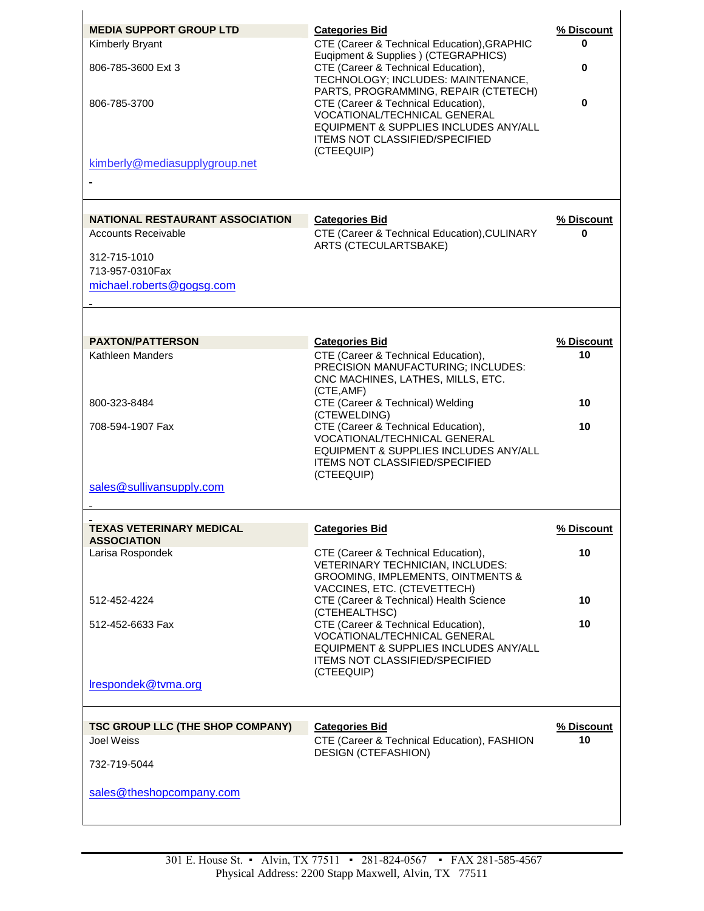| <b>MEDIA SUPPORT GROUP LTD</b>   | <b>Categories Bid</b>                                                               | % Discount |
|----------------------------------|-------------------------------------------------------------------------------------|------------|
| Kimberly Bryant                  | CTE (Career & Technical Education), GRAPHIC<br>Euqipment & Supplies ) (CTEGRAPHICS) | 0          |
| 806-785-3600 Ext 3               | CTE (Career & Technical Education),                                                 | 0          |
|                                  | TECHNOLOGY; INCLUDES: MAINTENANCE,                                                  |            |
|                                  | PARTS, PROGRAMMING, REPAIR (CTETECH)                                                |            |
| 806-785-3700                     | CTE (Career & Technical Education),<br>VOCATIONAL/TECHNICAL GENERAL                 | 0          |
|                                  | EQUIPMENT & SUPPLIES INCLUDES ANY/ALL                                               |            |
|                                  | <b>ITEMS NOT CLASSIFIED/SPECIFIED</b>                                               |            |
|                                  | (CTEEQUIP)                                                                          |            |
| kimberly@mediasupplygroup.net    |                                                                                     |            |
|                                  |                                                                                     |            |
|                                  |                                                                                     |            |
| NATIONAL RESTAURANT ASSOCIATION  | <b>Categories Bid</b>                                                               | % Discount |
| <b>Accounts Receivable</b>       | CTE (Career & Technical Education), CULINARY<br>ARTS (CTECULARTSBAKE)               | U          |
| 312-715-1010                     |                                                                                     |            |
| 713-957-0310Fax                  |                                                                                     |            |
| michael.roberts@gogsg.com        |                                                                                     |            |
|                                  |                                                                                     |            |
|                                  |                                                                                     |            |
| <b>PAXTON/PATTERSON</b>          | <b>Categories Bid</b>                                                               | % Discount |
| Kathleen Manders                 | CTE (Career & Technical Education),                                                 | 10         |
|                                  | PRECISION MANUFACTURING; INCLUDES:                                                  |            |
|                                  | CNC MACHINES, LATHES, MILLS, ETC.                                                   |            |
| 800-323-8484                     | (CTE, AMF)<br>CTE (Career & Technical) Welding                                      | 10         |
|                                  | (CTEWELDING)                                                                        |            |
| 708-594-1907 Fax                 | CTE (Career & Technical Education),                                                 | 10         |
|                                  | VOCATIONAL/TECHNICAL GENERAL                                                        |            |
|                                  | EQUIPMENT & SUPPLIES INCLUDES ANY/ALL<br><b>ITEMS NOT CLASSIFIED/SPECIFIED</b>      |            |
|                                  | (CTEEQUIP)                                                                          |            |
| sales@sullivansupply.com         |                                                                                     |            |
|                                  |                                                                                     |            |
| <b>TEXAS VETERINARY MEDICAL</b>  | <b>Categories Bid</b>                                                               | % Discount |
| <b>ASSOCIATION</b>               |                                                                                     |            |
| Larisa Rospondek                 | CTE (Career & Technical Education),                                                 | 10         |
|                                  | VETERINARY TECHNICIAN, INCLUDES:<br><b>GROOMING, IMPLEMENTS, OINTMENTS &amp;</b>    |            |
|                                  | VACCINES, ETC. (CTEVETTECH)                                                         |            |
| 512-452-4224                     | CTE (Career & Technical) Health Science                                             | 10         |
|                                  | (CTEHEALTHSC)<br>CTE (Career & Technical Education),                                | 10         |
| 512-452-6633 Fax                 | VOCATIONAL/TECHNICAL GENERAL                                                        |            |
|                                  | EQUIPMENT & SUPPLIES INCLUDES ANY/ALL                                               |            |
|                                  | <b>ITEMS NOT CLASSIFIED/SPECIFIED</b>                                               |            |
| Irespondek@tvma.org              | (CTEEQUIP)                                                                          |            |
|                                  |                                                                                     |            |
|                                  |                                                                                     |            |
| TSC GROUP LLC (THE SHOP COMPANY) | <b>Categories Bid</b>                                                               | % Discount |
| Joel Weiss                       | CTE (Career & Technical Education), FASHION<br><b>DESIGN (CTEFASHION)</b>           | 10         |
| 732-719-5044                     |                                                                                     |            |
|                                  |                                                                                     |            |
| sales@theshopcompany.com         |                                                                                     |            |
|                                  |                                                                                     |            |